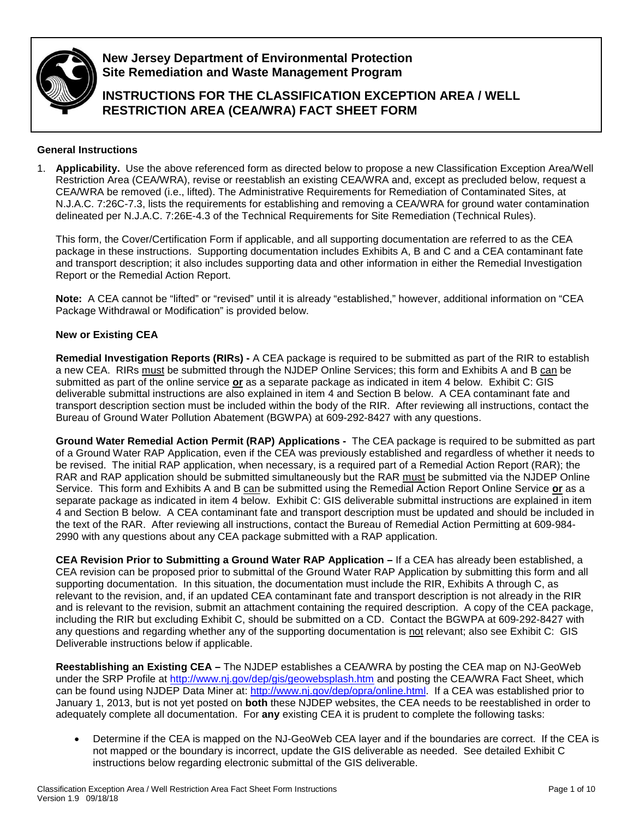

**New Jersey Department of Environmental Protection Site Remediation and Waste Management Program**

**INSTRUCTIONS FOR THE CLASSIFICATION EXCEPTION AREA / WELL RESTRICTION AREA (CEA/WRA) FACT SHEET FORM**

# **General Instructions**

1. **Applicability.** Use the above referenced form as directed below to propose a new Classification Exception Area/Well Restriction Area (CEA/WRA), revise or reestablish an existing CEA/WRA and, except as precluded below, request a CEA/WRA be removed (i.e., lifted). The [Administrative Requirements for Remediation of Contaminated Sites,](http://www.nj.gov/dep/srp/regs/arrcs/index.html) at N.J.A.C. 7:26C-7.3, lists the requirements for establishing and removing a CEA/WRA for ground water contamination delineated per N.J.A.C. 7:26E-4.3 of the Technical Requirements for Site Remediation (Technical Rules).

This form, the Cover/Certification Form if applicable, and all supporting documentation are referred to as the CEA package in these instructions. Supporting documentation includes Exhibits A, B and C and a CEA contaminant fate and transport description; it also includes supporting data and other information in either the Remedial Investigation Report or the Remedial Action Report.

**Note:** A CEA cannot be "lifted" or "revised" until it is already "established," however, additional information on "CEA Package Withdrawal or Modification" is provided below.

# **New or Existing CEA**

**Remedial Investigation Reports (RIRs) -** A CEA package is required to be submitted as part of the RIR to establish a new CEA. RIRs must be submitted through the NJDEP Online Services; this form and Exhibits A and B can be submitted as part of the online service **or** as a separate package as indicated in item 4 below. Exhibit C: GIS deliverable submittal instructions are also explained in item 4 and Section B below. A CEA contaminant fate and transport description section must be included within the body of the RIR. After reviewing all instructions, contact the Bureau of Ground Water Pollution Abatement (BGWPA) at 609-292-8427 with any questions.

**Ground Water Remedial Action Permit (RAP) Applications -** The CEA package is required to be submitted as part of a Ground Water RAP Application, even if the CEA was previously established and regardless of whether it needs to be revised. The initial RAP application, when necessary, is a required part of a Remedial Action Report (RAR); the RAR and RAP application should be submitted simultaneously but the RAR must be submitted via the NJDEP Online Service. This form and Exhibits A and B can be submitted using the Remedial Action Report Online Service or as a separate package as indicated in item 4 below. Exhibit C: GIS deliverable submittal instructions are explained in item 4 and Section B below. A CEA contaminant fate and transport description must be updated and should be included in the text of the RAR. After reviewing all instructions, contact the Bureau of Remedial Action Permitting at 609-984- 2990 with any questions about any CEA package submitted with a RAP application.

**CEA Revision Prior to Submitting a Ground Water RAP Application –** If a CEA has already been established, a CEA revision can be proposed prior to submittal of the Ground Water RAP Application by submitting this form and all supporting documentation. In this situation, the documentation must include the RIR, Exhibits A through C, as relevant to the revision, and, if an updated CEA contaminant fate and transport description is not already in the RIR and is relevant to the revision, submit an attachment containing the required description. A copy of the CEA package, including the RIR but excluding Exhibit C, should be submitted on a CD. Contact the BGWPA at 609-292-8427 with any questions and regarding whether any of the supporting documentation is not relevant; also see Exhibit C: GIS Deliverable instructions below if applicable.

**Reestablishing an Existing CEA –** The NJDEP establishes a CEA/WRA by posting the CEA map on NJ-GeoWeb under the SRP Profile at<http://www.nj.gov/dep/gis/geowebsplash.htm> and posting the CEA/WRA Fact Sheet, which can be found using NJDEP Data Miner at: [http://www.nj.gov/dep/opra/online.html.](http://www.nj.gov/dep/opra/online.html) If a CEA was established prior to January 1, 2013, but is not yet posted on **both** these NJDEP websites, the CEA needs to be reestablished in order to adequately complete all documentation. For **any** existing CEA it is prudent to complete the following tasks:

• Determine if the CEA is mapped on the NJ-GeoWeb CEA layer and if the boundaries are correct. If the CEA is not mapped or the boundary is incorrect, update the GIS deliverable as needed. See detailed Exhibit C instructions below regarding electronic submittal of the GIS deliverable.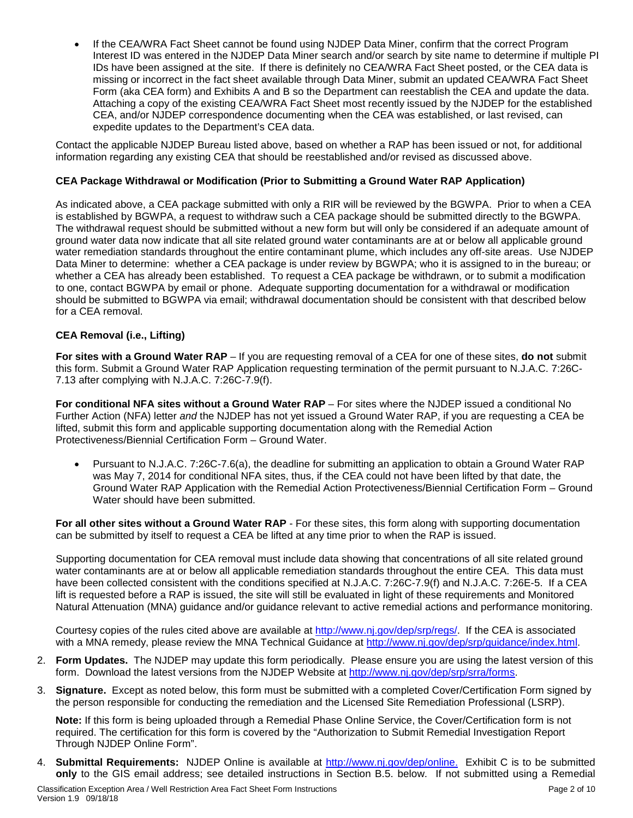• If the CEA/WRA Fact Sheet cannot be found using NJDEP Data Miner, confirm that the correct Program Interest ID was entered in the NJDEP Data Miner search and/or search by site name to determine if multiple PI IDs have been assigned at the site. If there is definitely no CEA/WRA Fact Sheet posted, or the CEA data is missing or incorrect in the fact sheet available through Data Miner, submit an updated CEA/WRA Fact Sheet Form (aka CEA form) and Exhibits A and B so the Department can reestablish the CEA and update the data. Attaching a copy of the existing CEA/WRA Fact Sheet most recently issued by the NJDEP for the established CEA, and/or NJDEP correspondence documenting when the CEA was established, or last revised, can expedite updates to the Department's CEA data.

Contact the applicable NJDEP Bureau listed above, based on whether a RAP has been issued or not, for additional information regarding any existing CEA that should be reestablished and/or revised as discussed above.

# **CEA Package Withdrawal or Modification (Prior to Submitting a Ground Water RAP Application)**

As indicated above, a CEA package submitted with only a RIR will be reviewed by the BGWPA. Prior to when a CEA is established by BGWPA, a request to withdraw such a CEA package should be submitted directly to the BGWPA. The withdrawal request should be submitted without a new form but will only be considered if an adequate amount of ground water data now indicate that all site related ground water contaminants are at or below all applicable ground water remediation standards throughout the entire contaminant plume, which includes any off-site areas. Use NJDEP Data Miner to determine: whether a CEA package is under review by BGWPA; who it is assigned to in the bureau; or whether a CEA has already been established. To request a CEA package be withdrawn, or to submit a modification to one, contact BGWPA by email or phone. Adequate supporting documentation for a withdrawal or modification should be submitted to BGWPA via email; withdrawal documentation should be consistent with that described below for a CEA removal.

# **CEA Removal (i.e., Lifting)**

**For sites with a Ground Water RAP** – If you are requesting removal of a CEA for one of these sites, **do not** submit this form. Submit a Ground Water RAP Application requesting termination of the permit pursuant to N.J.A.C. 7:26C-7.13 after complying with N.J.A.C. 7:26C-7.9(f).

**For conditional NFA sites without a Ground Water RAP** – For sites where the NJDEP issued a conditional No Further Action (NFA) letter *and* the NJDEP has not yet issued a Ground Water RAP, if you are requesting a CEA be lifted, submit this form and applicable supporting documentation along with the Remedial Action Protectiveness/Biennial Certification Form – Ground Water.

• Pursuant to N.J.A.C. 7:26C-7.6(a), the deadline for submitting an application to obtain a Ground Water RAP was May 7, 2014 for conditional NFA sites, thus, if the CEA could not have been lifted by that date, the Ground Water RAP Application with the Remedial Action Protectiveness/Biennial Certification Form – Ground Water should have been submitted.

**For all other sites without a Ground Water RAP** - For these sites, this form along with supporting documentation can be submitted by itself to request a CEA be lifted at any time prior to when the RAP is issued.

Supporting documentation for CEA removal must include data showing that concentrations of all site related ground water contaminants are at or below all applicable remediation standards throughout the entire CEA. This data must have been collected consistent with the conditions specified at N.J.A.C. 7:26C-7.9(f) and N.J.A.C. 7:26E-5. If a CEA lift is requested before a RAP is issued, the site will still be evaluated in light of these requirements and Monitored Natural Attenuation (MNA) guidance and/or guidance relevant to active remedial actions and performance monitoring.

Courtesy copies of the rules cited above are available at [http://www.nj.gov/dep/srp/regs/.](http://www.nj.gov/dep/srp/regs/) If the CEA is associated with a MNA remedy, please review the MNA Technical Guidance at [http://www.nj.gov/dep/srp/guidance/index.html.](http://www.nj.gov/dep/srp/guidance/index.html)

- 2. **Form Updates.** The NJDEP may update this form periodically. Please ensure you are using the latest version of this form. Download the latest versions from the NJDEP Website at [http://www.nj.gov/dep/srp/srra/forms.](http://www.nj.gov/dep/srp/srra/forms)
- 3. **Signature.** Except as noted below, this form must be submitted with a completed Cover/Certification Form signed by the person responsible for conducting the remediation and the Licensed Site Remediation Professional (LSRP).

**Note:** If this form is being uploaded through a Remedial Phase Online Service, the Cover/Certification form is not required. The certification for this form is covered by the "Authorization to Submit Remedial Investigation Report Through NJDEP Online Form".

4. **Submittal Requirements:** NJDEP Online is available at [http://www.nj.gov/dep/online.](http://www.nj.gov/dep/online) Exhibit C is to be submitted **only** to the GIS email address; see detailed instructions in Section B.5. below. If not submitted using a Remedial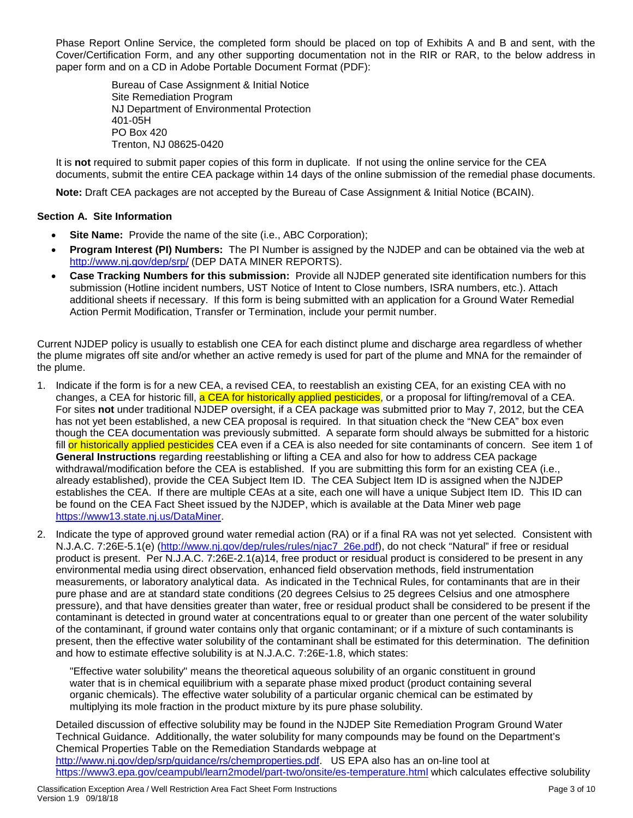Phase Report Online Service, the completed form should be placed on top of Exhibits A and B and sent, with the Cover/Certification Form, and any other supporting documentation not in the RIR or RAR, to the below address in paper form and on a CD in Adobe Portable Document Format (PDF):

> Bureau of Case Assignment & Initial Notice Site Remediation Program NJ Department of Environmental Protection 401-05H PO Box 420 Trenton, NJ 08625-0420

It is **not** required to submit paper copies of this form in duplicate. If not using the online service for the CEA documents, submit the entire CEA package within 14 days of the online submission of the remedial phase documents.

**Note:** Draft CEA packages are not accepted by the Bureau of Case Assignment & Initial Notice (BCAIN).

# **Section A. Site Information**

- **Site Name:** Provide the name of the site (i.e., ABC Corporation);
- **Program Interest (PI) Numbers:** The PI Number is assigned by the NJDEP and can be obtained via the web at <http://www.nj.gov/dep/srp/> (DEP DATA MINER REPORTS).
- **Case Tracking Numbers for this submission:** Provide all NJDEP generated site identification numbers for this submission (Hotline incident numbers, UST Notice of Intent to Close numbers, ISRA numbers, etc.). Attach additional sheets if necessary. If this form is being submitted with an application for a Ground Water Remedial Action Permit Modification, Transfer or Termination, include your permit number.

Current NJDEP policy is usually to establish one CEA for each distinct plume and discharge area regardless of whether the plume migrates off site and/or whether an active remedy is used for part of the plume and MNA for the remainder of the plume.

- 1. Indicate if the form is for a new CEA, a revised CEA, to reestablish an existing CEA, for an existing CEA with no changes, a CEA for historic fill, a CEA for historically applied pesticides, or a proposal for lifting/removal of a CEA. For sites **not** under traditional NJDEP oversight, if a CEA package was submitted prior to May 7, 2012, but the CEA has not yet been established, a new CEA proposal is required. In that situation check the "New CEA" box even though the CEA documentation was previously submitted. A separate form should always be submitted for a historic fill or historically applied pesticides CEA even if a CEA is also needed for site contaminants of concern. See item 1 of **General Instructions** regarding reestablishing or lifting a CEA and also for how to address CEA package withdrawal/modification before the CEA is established. If you are submitting this form for an existing CEA (i.e., already established), provide the CEA Subject Item ID. The CEA Subject Item ID is assigned when the NJDEP establishes the CEA. If there are multiple CEAs at a site, each one will have a unique Subject Item ID. This ID can be found on the CEA Fact Sheet issued by the NJDEP, which is available at the Data Miner web page [https://www13.state.nj.us/DataMiner.](https://www13.state.nj.us/DataMiner)
- 2. Indicate the type of approved ground water remedial action (RA) or if a final RA was not yet selected. Consistent with N.J.A.C. 7:26E-5.1(e) [\(http://www.nj.gov/dep/rules/rules/njac7\\_26e.pdf\)](http://www.nj.gov/dep/rules/rules/njac7_26e.pdf), do not check "Natural" if free or residual product is present. Per N.J.A.C. 7:26E-2.1(a)14, free product or residual product is considered to be present in any environmental media using direct observation, enhanced field observation methods, field instrumentation measurements, or laboratory analytical data. As indicated in the Technical Rules, for contaminants that are in their pure phase and are at standard state conditions (20 degrees Celsius to 25 degrees Celsius and one atmosphere pressure), and that have densities greater than water, free or residual product shall be considered to be present if the contaminant is detected in ground water at concentrations equal to or greater than one percent of the water solubility of the contaminant, if ground water contains only that organic contaminant; or if a mixture of such contaminants is present, then the effective water solubility of the contaminant shall be estimated for this determination. The definition and how to estimate effective solubility is at N.J.A.C. 7:26E-1.8, which states:

"Effective water solubility" means the theoretical aqueous solubility of an organic constituent in ground water that is in chemical equilibrium with a separate phase mixed product (product containing several organic chemicals). The effective water solubility of a particular organic chemical can be estimated by multiplying its mole fraction in the product mixture by its pure phase solubility.

Detailed discussion of effective solubility may be found in the NJDEP Site Remediation Program Ground Water Technical Guidance. Additionally, the water solubility for many compounds may be found on the Department's Chemical Properties Table on the Remediation Standards webpage at [http://www.nj.gov/dep/srp/guidance/rs/chemproperties.pdf.](http://www.nj.gov/dep/srp/guidance/rs/chemproperties.pdf) US EPA also has an on-line tool at <https://www3.epa.gov/ceampubl/learn2model/part-two/onsite/es-temperature.html> which calculates effective solubility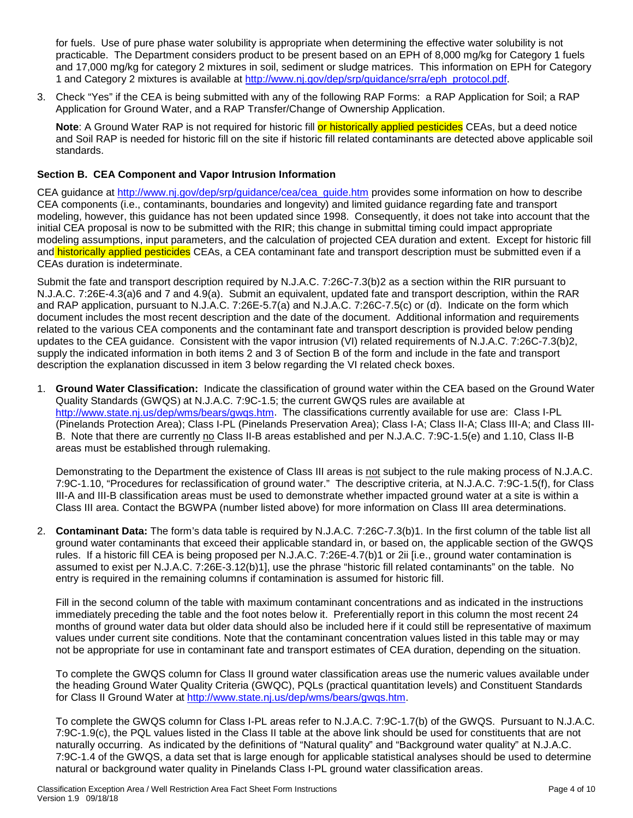for fuels. Use of pure phase water solubility is appropriate when determining the effective water solubility is not practicable. The Department considers product to be present based on an EPH of 8,000 mg/kg for Category 1 fuels and 17,000 mg/kg for category 2 mixtures in soil, sediment or sludge matrices. This information on EPH for Category 1 and Category 2 mixtures is available at [http://www.nj.gov/dep/srp/guidance/srra/eph\\_protocol.pdf.](http://www.nj.gov/dep/srp/guidance/srra/eph_protocol.pdf)

3. Check "Yes" if the CEA is being submitted with any of the following RAP Forms: a RAP Application for Soil; a RAP Application for Ground Water, and a RAP Transfer/Change of Ownership Application.

**Note:** A Ground Water RAP is not required for historic fill or historically applied pesticides CEAs, but a deed notice and Soil RAP is needed for historic fill on the site if historic fill related contaminants are detected above applicable soil standards.

## **Section B. CEA Component and Vapor Intrusion Information**

CEA guidance at [http://www.nj.gov/dep/srp/guidance/cea/cea\\_guide.htm](http://www.nj.gov/dep/srp/guidance/cea/cea_guide.htm) provides some information on how to describe CEA components (i.e., contaminants, boundaries and longevity) and limited guidance regarding fate and transport modeling, however, this guidance has not been updated since 1998. Consequently, it does not take into account that the initial CEA proposal is now to be submitted with the RIR; this change in submittal timing could impact appropriate modeling assumptions, input parameters, and the calculation of projected CEA duration and extent. Except for historic fill and historically applied pesticides CEAs, a CEA contaminant fate and transport description must be submitted even if a CEAs duration is indeterminate.

Submit the fate and transport description required by N.J.A.C. 7:26C-7.3(b)2 as a section within the RIR pursuant to N.J.A.C. 7:26E-4.3(a)6 and 7 and 4.9(a). Submit an equivalent, updated fate and transport description, within the RAR and RAP application, pursuant to N.J.A.C. 7:26E-5.7(a) and N.J.A.C. 7:26C-7.5(c) or (d). Indicate on the form which document includes the most recent description and the date of the document. Additional information and requirements related to the various CEA components and the contaminant fate and transport description is provided below pending updates to the CEA guidance. Consistent with the vapor intrusion (VI) related requirements of N.J.A.C. 7:26C-7.3(b)2, supply the indicated information in both items 2 and 3 of Section B of the form and include in the fate and transport description the explanation discussed in item 3 below regarding the VI related check boxes.

1. **Ground Water Classification:** Indicate the classification of ground water within the CEA based on the Ground Water Quality Standards (GWQS) at N.J.A.C. 7:9C-1.5; the current GWQS rules are available at [http://www.state.nj.us/dep/wms/bears/gwqs.htm.](http://www.state.nj.us/dep/wms/bears/gwqs.htm) The classifications currently available for use are: Class I-PL (Pinelands Protection Area); Class I-PL (Pinelands Preservation Area); Class I-A; Class II-A; Class III-A; and Class III-B. Note that there are currently no Class II-B areas established and per N.J.A.C. 7:9C-1.5(e) and 1.10, Class II-B areas must be established through rulemaking.

Demonstrating to the Department the existence of Class III areas is not subject to the rule making process of N.J.A.C. 7:9C-1.10, "Procedures for reclassification of ground water." The descriptive criteria, at N.J.A.C. 7:9C-1.5(f), for Class III-A and III-B classification areas must be used to demonstrate whether impacted ground water at a site is within a Class III area. Contact the BGWPA (number listed above) for more information on Class III area determinations.

2. **Contaminant Data:** The form's data table is required by N.J.A.C. 7:26C-7.3(b)1. In the first column of the table list all ground water contaminants that exceed their applicable standard in, or based on, the applicable section of the GWQS rules. If a historic fill CEA is being proposed per N.J.A.C. 7:26E-4.7(b)1 or 2ii [i.e., ground water contamination is assumed to exist per N.J.A.C. 7:26E-3.12(b)1], use the phrase "historic fill related contaminants" on the table. No entry is required in the remaining columns if contamination is assumed for historic fill.

Fill in the second column of the table with maximum contaminant concentrations and as indicated in the instructions immediately preceding the table and the foot notes below it. Preferentially report in this column the most recent 24 months of ground water data but older data should also be included here if it could still be representative of maximum values under current site conditions. Note that the contaminant concentration values listed in this table may or may not be appropriate for use in contaminant fate and transport estimates of CEA duration, depending on the situation.

To complete the GWQS column for Class II ground water classification areas use the numeric values available under the heading Ground Water Quality Criteria (GWQC), PQLs (practical quantitation levels) and Constituent Standards for Class II Ground Water at [http://www.state.nj.us/dep/wms/bears/gwqs.htm.](http://www.state.nj.us/dep/wms/bears/gwqs.htm)

To complete the GWQS column for Class I-PL areas refer to N.J.A.C. 7:9C-1.7(b) of the GWQS. Pursuant to N.J.A.C. 7:9C-1.9(c), the PQL values listed in the Class II table at the above link should be used for constituents that are not naturally occurring. As indicated by the definitions of "Natural quality" and "Background water quality" at N.J.A.C. 7:9C-1.4 of the GWQS, a data set that is large enough for applicable statistical analyses should be used to determine natural or background water quality in Pinelands Class I-PL ground water classification areas.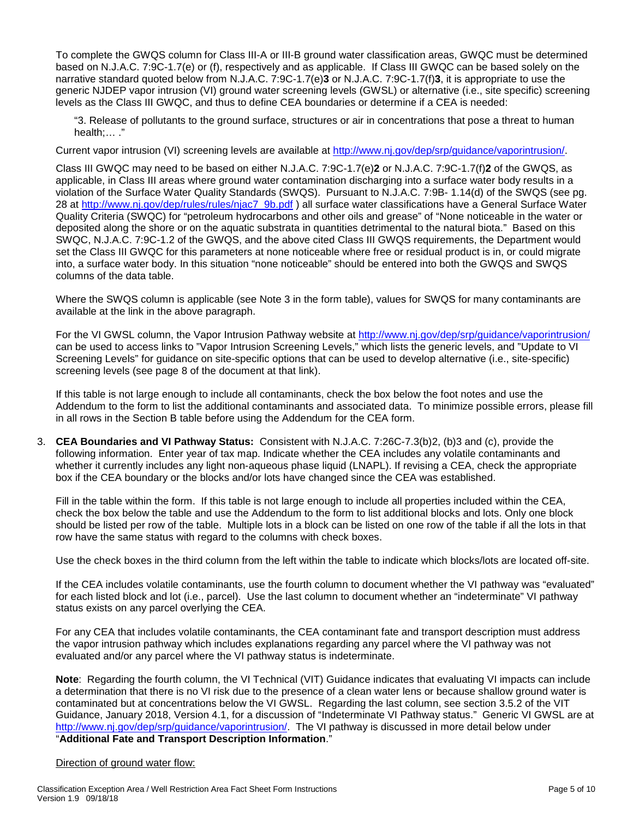To complete the GWQS column for Class III-A or III-B ground water classification areas, GWQC must be determined based on N.J.A.C. 7:9C-1.7(e) or (f), respectively and as applicable. If Class III GWQC can be based solely on the narrative standard quoted below from N.J.A.C. 7:9C-1.7(e)**3** or N.J.A.C. 7:9C-1.7(f)**3**, it is appropriate to use the generic NJDEP vapor intrusion (VI) ground water screening levels (GWSL) or alternative (i.e., site specific) screening levels as the Class III GWQC, and thus to define CEA boundaries or determine if a CEA is needed:

"3. Release of pollutants to the ground surface, structures or air in concentrations that pose a threat to human health;… ."

Current vapor intrusion (VI) screening levels are available at [http://www.nj.gov/dep/srp/guidance/vaporintrusion/.](http://www.nj.gov/dep/srp/guidance/vaporintrusion/)

Class III GWQC may need to be based on either N.J.A.C. 7:9C-1.7(e)**2** or N.J.A.C. 7:9C-1.7(f)**2** of the GWQS, as applicable, in Class III areas where ground water contamination discharging into a surface water body results in a violation of the Surface Water Quality Standards (SWQS). Pursuant to N.J.A.C. 7:9B- 1.14(d) of the SWQS (see pg. 28 at [http://www.nj.gov/dep/rules/rules/njac7\\_9b.pdf](http://www.nj.gov/dep/rules/rules/njac7_9b.pdf) ) all surface water classifications have a General Surface Water Quality Criteria (SWQC) for "petroleum hydrocarbons and other oils and grease" of "None noticeable in the water or deposited along the shore or on the aquatic substrata in quantities detrimental to the natural biota." Based on this SWQC, N.J.A.C. 7:9C-1.2 of the GWQS, and the above cited Class III GWQS requirements, the Department would set the Class III GWQC for this parameters at none noticeable where free or residual product is in, or could migrate into, a surface water body. In this situation "none noticeable" should be entered into both the GWQS and SWQS columns of the data table.

Where the SWQS column is applicable (see Note 3 in the form table), values for SWQS for many contaminants are available at the link in the above paragraph.

For the VI GWSL column, the Vapor Intrusion Pathway website at<http://www.nj.gov/dep/srp/guidance/vaporintrusion/> can be used to access links to "Vapor Intrusion Screening Levels," which lists the generic levels, and "Update to VI Screening Levels" for guidance on site-specific options that can be used to develop alternative (i.e., site-specific) screening levels (see page 8 of the document at that link).

If this table is not large enough to include all contaminants, check the box below the foot notes and use the Addendum to the form to list the additional contaminants and associated data. To minimize possible errors, please fill in all rows in the Section B table before using the Addendum for the CEA form.

3. **CEA Boundaries and VI Pathway Status:** Consistent with N.J.A.C. 7:26C-7.3(b)2, (b)3 and (c), provide the following information. Enter year of tax map. Indicate whether the CEA includes any volatile contaminants and whether it currently includes any light non-aqueous phase liquid (LNAPL). If revising a CEA, check the appropriate box if the CEA boundary or the blocks and/or lots have changed since the CEA was established.

Fill in the table within the form. If this table is not large enough to include all properties included within the CEA, check the box below the table and use the Addendum to the form to list additional blocks and lots. Only one block should be listed per row of the table. Multiple lots in a block can be listed on one row of the table if all the lots in that row have the same status with regard to the columns with check boxes.

Use the check boxes in the third column from the left within the table to indicate which blocks/lots are located off-site.

If the CEA includes volatile contaminants, use the fourth column to document whether the VI pathway was "evaluated" for each listed block and lot (i.e., parcel). Use the last column to document whether an "indeterminate" VI pathway status exists on any parcel overlying the CEA.

For any CEA that includes volatile contaminants, the CEA contaminant fate and transport description must address the vapor intrusion pathway which includes explanations regarding any parcel where the VI pathway was not evaluated and/or any parcel where the VI pathway status is indeterminate.

**Note**: Regarding the fourth column, the VI Technical (VIT) Guidance indicates that evaluating VI impacts can include a determination that there is no VI risk due to the presence of a clean water lens or because shallow ground water is contaminated but at concentrations below the VI GWSL. Regarding the last column, see section 3.5.2 of the VIT Guidance, January 2018, Version 4.1, for a discussion of "Indeterminate VI Pathway status." Generic VI GWSL are at [http://www.nj.gov/dep/srp/guidance/vaporintrusion/.](http://www.nj.gov/dep/srp/guidance/vaporintrusion/) The VI pathway is discussed in more detail below under "**Additional Fate and Transport Description Information**."

## Direction of ground water flow: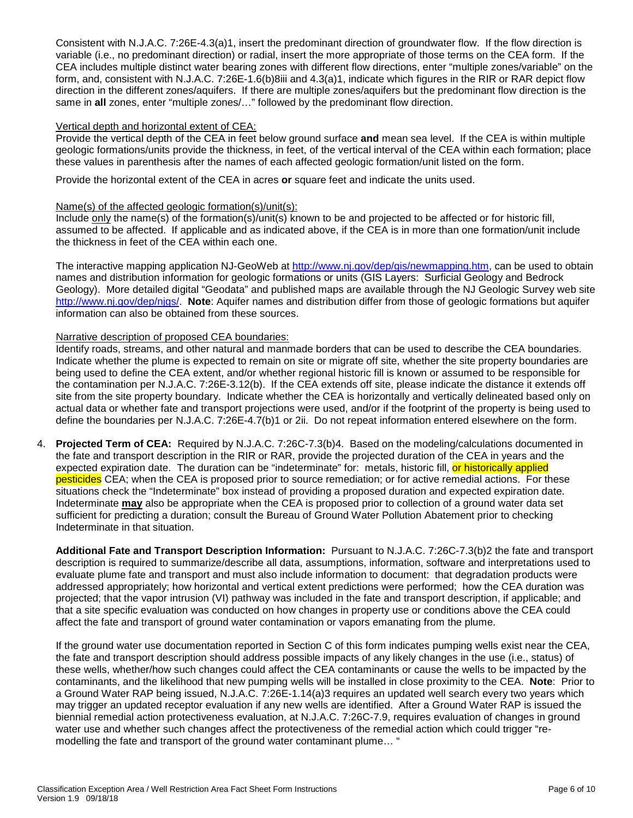Consistent with N.J.A.C. 7:26E-4.3(a)1, insert the predominant direction of groundwater flow. If the flow direction is variable (i.e., no predominant direction) or radial, insert the more appropriate of those terms on the CEA form. If the CEA includes multiple distinct water bearing zones with different flow directions, enter "multiple zones/variable" on the form, and, consistent with N.J.A.C. 7:26E-1.6(b)8iii and 4.3(a)1, indicate which figures in the RIR or RAR depict flow direction in the different zones/aquifers. If there are multiple zones/aquifers but the predominant flow direction is the same in **all** zones, enter "multiple zones/…" followed by the predominant flow direction.

## Vertical depth and horizontal extent of CEA:

Provide the vertical depth of the CEA in feet below ground surface **and** mean sea level. If the CEA is within multiple geologic formations/units provide the thickness, in feet, of the vertical interval of the CEA within each formation; place these values in parenthesis after the names of each affected geologic formation/unit listed on the form.

Provide the horizontal extent of the CEA in acres **or** square feet and indicate the units used.

## Name(s) of the affected geologic formation(s)/unit(s):

Include only the name(s) of the formation(s)/unit(s) known to be and projected to be affected or for historic fill, assumed to be affected. If applicable and as indicated above, if the CEA is in more than one formation/unit include the thickness in feet of the CEA within each one.

The interactive mapping application NJ-GeoWeb at [http://www.nj.gov/dep/gis/newmapping.htm,](http://www.nj.gov/dep/gis/newmapping.htm) can be used to obtain names and distribution information for geologic formations or units (GIS Layers: Surficial Geology and Bedrock Geology). More detailed digital "Geodata" and published maps are available through the NJ Geologic Survey web site [http://www.nj.gov/dep/njgs/.](http://www.nj.gov/dep/njgs/) **Note**: Aquifer names and distribution differ from those of geologic formations but aquifer information can also be obtained from these sources.

## Narrative description of proposed CEA boundaries:

Identify roads, streams, and other natural and manmade borders that can be used to describe the CEA boundaries. Indicate whether the plume is expected to remain on site or migrate off site, whether the site property boundaries are being used to define the CEA extent, and/or whether regional historic fill is known or assumed to be responsible for the contamination per N.J.A.C. 7:26E-3.12(b). If the CEA extends off site, please indicate the distance it extends off site from the site property boundary. Indicate whether the CEA is horizontally and vertically delineated based only on actual data or whether fate and transport projections were used, and/or if the footprint of the property is being used to define the boundaries per N.J.A.C. 7:26E-4.7(b)1 or 2ii. Do not repeat information entered elsewhere on the form.

4. **Projected Term of CEA:** Required by N.J.A.C. 7:26C-7.3(b)4. Based on the modeling/calculations documented in the fate and transport description in the RIR or RAR, provide the projected duration of the CEA in years and the expected expiration date. The duration can be "indeterminate" for: metals, historic fill, or historically applied pesticides CEA; when the CEA is proposed prior to source remediation; or for active remedial actions. For these situations check the "Indeterminate" box instead of providing a proposed duration and expected expiration date. Indeterminate **may** also be appropriate when the CEA is proposed prior to collection of a ground water data set sufficient for predicting a duration; consult the Bureau of Ground Water Pollution Abatement prior to checking Indeterminate in that situation.

**Additional Fate and Transport Description Information:** Pursuant to N.J.A.C. 7:26C-7.3(b)2 the fate and transport description is required to summarize/describe all data, assumptions, information, software and interpretations used to evaluate plume fate and transport and must also include information to document: that degradation products were addressed appropriately; how horizontal and vertical extent predictions were performed; how the CEA duration was projected; that the vapor intrusion (VI) pathway was included in the fate and transport description, if applicable; and that a site specific evaluation was conducted on how changes in property use or conditions above the CEA could affect the fate and transport of ground water contamination or vapors emanating from the plume.

If the ground water use documentation reported in Section C of this form indicates pumping wells exist near the CEA, the fate and transport description should address possible impacts of any likely changes in the use (i.e., status) of these wells, whether/how such changes could affect the CEA contaminants or cause the wells to be impacted by the contaminants, and the likelihood that new pumping wells will be installed in close proximity to the CEA. **Note**: Prior to a Ground Water RAP being issued, N.J.A.C. 7:26E-1.14(a)3 requires an updated well search every two years which may trigger an updated receptor evaluation if any new wells are identified. After a Ground Water RAP is issued the biennial remedial action protectiveness evaluation, at N.J.A.C. 7:26C-7.9, requires evaluation of changes in ground water use and whether such changes affect the protectiveness of the remedial action which could trigger "remodelling the fate and transport of the ground water contaminant plume… "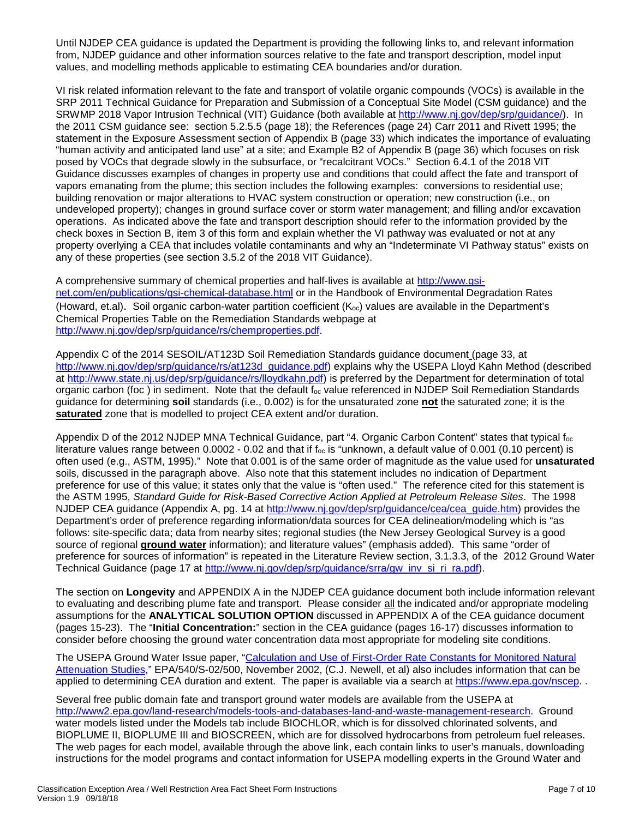Until NJDEP CEA guidance is updated the Department is providing the following links to, and relevant information from, NJDEP guidance and other information sources relative to the fate and transport description, model input values, and modelling methods applicable to estimating CEA boundaries and/or duration.

VI risk related information relevant to the fate and transport of volatile organic compounds (VOCs) is available in the SRP 2011 Technical Guidance for Preparation and Submission of a Conceptual Site Model (CSM guidance) and the SRWMP 2018 Vapor Intrusion Technical (VIT) Guidance (both available at [http://www.nj.gov/dep/srp/guidance/\)](http://www.nj.gov/dep/srp/guidance/). In the 2011 CSM guidance see: section 5.2.5.5 (page 18); the References (page 24) Carr 2011 and Rivett 1995; the statement in the Exposure Assessment section of Appendix B (page 33) which indicates the importance of evaluating "human activity and anticipated land use" at a site; and Example B2 of Appendix B (page 36) which focuses on risk posed by VOCs that degrade slowly in the subsurface, or "recalcitrant VOCs." Section 6.4.1 of the 2018 VIT Guidance discusses examples of changes in property use and conditions that could affect the fate and transport of vapors emanating from the plume; this section includes the following examples: conversions to residential use; building renovation or major alterations to HVAC system construction or operation; new construction (i.e., on undeveloped property); changes in ground surface cover or storm water management; and filling and/or excavation operations. As indicated above the fate and transport description should refer to the information provided by the check boxes in Section B, item 3 of this form and explain whether the VI pathway was evaluated or not at any property overlying a CEA that includes volatile contaminants and why an "Indeterminate VI Pathway status" exists on any of these properties (see section 3.5.2 of the 2018 VIT Guidance).

A comprehensive summary of chemical properties and half-lives is available at [http://www.gsi](http://www.gsi-net.com/en/publications/gsi-chemical-database.html)[net.com/en/publications/gsi-chemical-database.html](http://www.gsi-net.com/en/publications/gsi-chemical-database.html) or in the Handbook of Environmental Degradation Rates (Howard, et.al). Soil organic carbon-water partition coefficient ( $K_{oc}$ ) values are available in the Department's Chemical Properties Table on the Remediation Standards webpage at [http://www.nj.gov/dep/srp/guidance/rs/chemproperties.pdf.](http://www.nj.gov/dep/srp/guidance/rs/chemproperties.pdf)

Appendix C of the 2014 SESOIL/AT123D Soil Remediation Standards guidance document (page 33, at [http://www.nj.gov/dep/srp/guidance/rs/at123d\\_guidance.pdf\)](http://www.nj.gov/dep/srp/guidance/rs/at123d_guidance.pdf) explains why the USEPA Lloyd Kahn Method (described at [http://www.state.nj.us/dep/srp/guidance/rs/lloydkahn.pdf\)](http://www.state.nj.us/dep/srp/guidance/rs/lloydkahn.pdf) is preferred by the Department for determination of total organic carbon (foc) in sediment. Note that the default  $f_{oc}$  value referenced in NJDEP Soil Remediation Standards guidance for determining **soil** standards (i.e., 0.002) is for the unsaturated zone **not** the saturated zone; it is the **saturated** zone that is modelled to project CEA extent and/or duration.

Appendix D of the 2012 NJDEP MNA Technical Guidance, part "4. Organic Carbon Content" states that typical f<sub>oc</sub> literature values range between  $0.0002 - 0.02$  and that if  $f_{\text{oc}}$  is "unknown, a default value of 0.001 (0.10 percent) is often used (e.g., ASTM, 1995)." Note that 0.001 is of the same order of magnitude as the value used for **unsaturated** soils, discussed in the paragraph above. Also note that this statement includes no indication of Department preference for use of this value; it states only that the value is "often used." The reference cited for this statement is the ASTM 1995, *Standard Guide for Risk-Based Corrective Action Applied at Petroleum Release Sites*. The 1998 NJDEP CEA guidance (Appendix A, pg. 14 at [http://www.nj.gov/dep/srp/guidance/cea/cea\\_guide.htm\)](http://www.nj.gov/dep/srp/guidance/cea/cea_guide.htm) provides the Department's order of preference regarding information/data sources for CEA delineation/modeling which is "as follows: site-specific data; data from nearby sites; regional studies (the New Jersey Geological Survey is a good source of regional **ground water** information); and literature values" (emphasis added). This same "order of preference for sources of information" is repeated in the Literature Review section, 3.1.3.3, of the 2012 Ground Water Technical Guidance (page 17 at [http://www.nj.gov/dep/srp/guidance/srra/gw\\_inv\\_si\\_ri\\_ra.pdf\)](http://www.nj.gov/dep/srp/guidance/srra/gw_inv_si_ri_ra.pdf).

The section on **Longevity** and APPENDIX A in the NJDEP CEA guidance document both include information relevant to evaluating and describing plume fate and transport. Please consider all the indicated and/or appropriate modeling assumptions for the **ANALYTICAL SOLUTION OPTION** discussed in APPENDIX A of the CEA guidance document (pages 15-23). The "**Initial Concentration:**" section in the CEA guidance (pages 16-17) discusses information to consider before choosing the ground water concentration data most appropriate for modeling site conditions.

The USEPA Ground Water Issue paper, ["Calculation and Use of First-Order Rate Constants for Monitored Natural](https://nepis.epa.gov/Exe/ZyNET.exe/10004674.TXT?ZyActionD=ZyDocument&Client=EPA&Index=2000+Thru+2005&Docs=&Query=&Time=&EndTime=&SearchMethod=1&TocRestrict=n&Toc=&TocEntry=&QField=&QFieldYear=&QFieldMonth=&QFieldDay=&IntQFieldOp=0&ExtQFieldOp=0&XmlQuery=&File=D%3A%5Czyfiles%5CIndex%20Data%5C00thru05%5CTxt%5C00000005%5C10004674.txt&User=ANONYMOUS&Password=anonymous&SortMethod=h%7C-&MaximumDocuments=1&FuzzyDegree=0&ImageQuality=r75g8/r75g8/x150y150g16/i425&Display=p%7Cf&DefSeekPage=x&SearchBack=ZyActionL&Back=ZyActionS&BackDesc=Results%20page&MaximumPages=1&ZyEntry=1&SeekPage=x&ZyPURL)  [Attenuation Studies,](https://nepis.epa.gov/Exe/ZyNET.exe/10004674.TXT?ZyActionD=ZyDocument&Client=EPA&Index=2000+Thru+2005&Docs=&Query=&Time=&EndTime=&SearchMethod=1&TocRestrict=n&Toc=&TocEntry=&QField=&QFieldYear=&QFieldMonth=&QFieldDay=&IntQFieldOp=0&ExtQFieldOp=0&XmlQuery=&File=D%3A%5Czyfiles%5CIndex%20Data%5C00thru05%5CTxt%5C00000005%5C10004674.txt&User=ANONYMOUS&Password=anonymous&SortMethod=h%7C-&MaximumDocuments=1&FuzzyDegree=0&ImageQuality=r75g8/r75g8/x150y150g16/i425&Display=p%7Cf&DefSeekPage=x&SearchBack=ZyActionL&Back=ZyActionS&BackDesc=Results%20page&MaximumPages=1&ZyEntry=1&SeekPage=x&ZyPURL)" EPA/540/S-02/500, November 2002, (C.J. Newell, et al) also includes information that can be applied to determining CEA duration and extent. The paper is available via a search at [https://www.epa.gov/nscep.](https://www.epa.gov/nscep) .

Several free public domain fate and transport ground water models are available from the USEPA at [http://www2.epa.gov/land-research/models-tools-and-databases-land-and-waste-management-research.](http://www2.epa.gov/land-research/models-tools-and-databases-land-and-waste-management-research) Ground water models listed under the Models tab include BIOCHLOR, which is for dissolved chlorinated solvents, and BIOPLUME II, BIOPLUME III and BIOSCREEN, which are for dissolved hydrocarbons from petroleum fuel releases. The web pages for each model, available through the above link, each contain links to user's manuals, downloading instructions for the model programs and contact information for USEPA modelling experts in the Ground Water and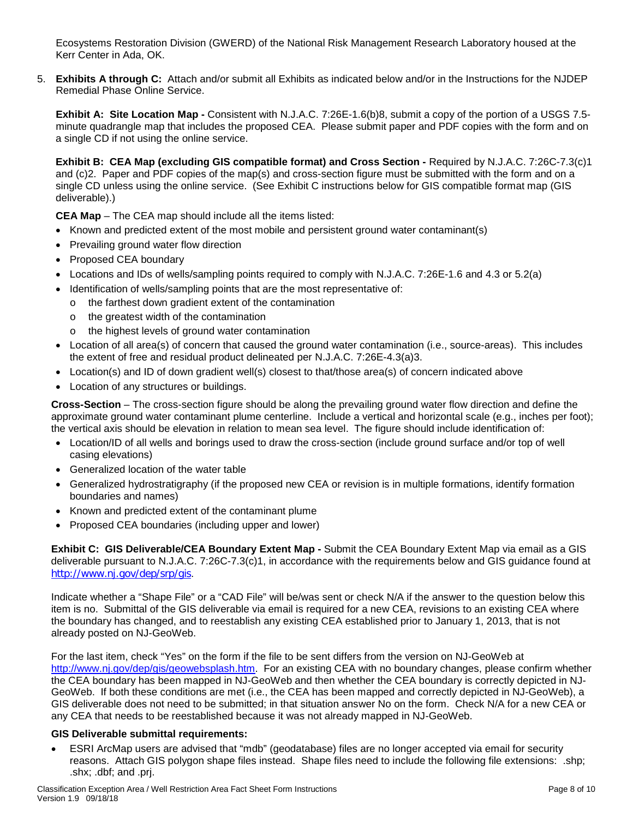Ecosystems Restoration Division (GWERD) of the National Risk Management Research Laboratory housed at the Kerr Center in Ada, OK.

5. **Exhibits A through C:** Attach and/or submit all Exhibits as indicated below and/or in the Instructions for the NJDEP Remedial Phase Online Service.

**Exhibit A: Site Location Map -** Consistent with N.J.A.C. 7:26E-1.6(b)8, submit a copy of the portion of a USGS 7.5 minute quadrangle map that includes the proposed CEA. Please submit paper and PDF copies with the form and on a single CD if not using the online service.

**Exhibit B: CEA Map (excluding GIS compatible format) and Cross Section -** Required by N.J.A.C. 7:26C-7.3(c)1 and (c)2. Paper and PDF copies of the map(s) and cross-section figure must be submitted with the form and on a single CD unless using the online service. (See Exhibit C instructions below for GIS compatible format map (GIS deliverable).)

**CEA Map** – The CEA map should include all the items listed:

- Known and predicted extent of the most mobile and persistent ground water contaminant(s)
- Prevailing ground water flow direction
- Proposed CEA boundary
- Locations and IDs of wells/sampling points required to comply with N.J.A.C. 7:26E-1.6 and 4.3 or 5.2(a)
- Identification of wells/sampling points that are the most representative of:
- o the farthest down gradient extent of the contamination
	- o the greatest width of the contamination
	- o the highest levels of ground water contamination
- Location of all area(s) of concern that caused the ground water contamination (i.e., source-areas). This includes the extent of free and residual product delineated per N.J.A.C. 7:26E-4.3(a)3.
- Location(s) and ID of down gradient well(s) closest to that/those area(s) of concern indicated above
- Location of any structures or buildings.

**Cross-Section** – The cross-section figure should be along the prevailing ground water flow direction and define the approximate ground water contaminant plume centerline. Include a vertical and horizontal scale (e.g., inches per foot); the vertical axis should be elevation in relation to mean sea level. The figure should include identification of:

- Location/ID of all wells and borings used to draw the cross-section (include ground surface and/or top of well casing elevations)
- Generalized location of the water table
- Generalized hydrostratigraphy (if the proposed new CEA or revision is in multiple formations, identify formation boundaries and names)
- Known and predicted extent of the contaminant plume
- Proposed CEA boundaries (including upper and lower)

**Exhibit C: GIS Deliverable/CEA Boundary Extent Map -** Submit the CEA Boundary Extent Map via email as a GIS deliverable pursuant to N.J.A.C. 7:26C-7.3(c)1, in accordance with the requirements below and GIS guidance found at <http://www.nj.gov/dep/srp/gis>.

Indicate whether a "Shape File" or a "CAD File" will be/was sent or check N/A if the answer to the question below this item is no. Submittal of the GIS deliverable via email is required for a new CEA, revisions to an existing CEA where the boundary has changed, and to reestablish any existing CEA established prior to January 1, 2013, that is not already posted on NJ-GeoWeb.

For the last item, check "Yes" on the form if the file to be sent differs from the version on NJ-GeoWeb at [http://www.nj.gov/dep/gis/geowebsplash.htm.](http://www.nj.gov/dep/gis/geowebsplash.htm) For an existing CEA with no boundary changes, please confirm whether the CEA boundary has been mapped in NJ-GeoWeb and then whether the CEA boundary is correctly depicted in NJ-GeoWeb. If both these conditions are met (i.e., the CEA has been mapped and correctly depicted in NJ-GeoWeb), a GIS deliverable does not need to be submitted; in that situation answer No on the form. Check N/A for a new CEA or any CEA that needs to be reestablished because it was not already mapped in NJ-GeoWeb.

## **GIS Deliverable submittal requirements:**

• ESRI ArcMap users are advised that "mdb" (geodatabase) files are no longer accepted via email for security reasons. Attach GIS polygon shape files instead. Shape files need to include the following file extensions: .shp; .shx; .dbf; and .prj.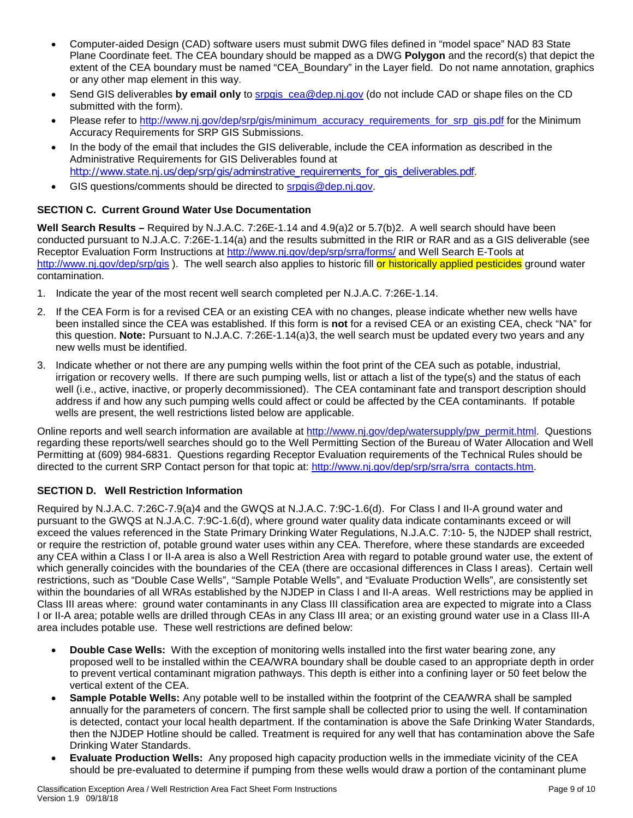- Computer-aided Design (CAD) software users must submit DWG files defined in "model space" NAD 83 State Plane Coordinate feet. The CEA boundary should be mapped as a DWG **Polygon** and the record(s) that depict the extent of the CEA boundary must be named "CEA Boundary" in the Layer field. Do not name annotation, graphics or any other map element in this way.
- Send GIS deliverables **by email only** to [srpgis\\_cea@dep.nj.gov](mailto:srpgis_cea@dep.nj.gov) (do not include CAD or shape files on the CD submitted with the form).
- Please refer to [http://www.nj.gov/dep/srp/gis/minimum\\_accuracy\\_requirements\\_for\\_srp\\_gis.pdf](http://www.nj.gov/dep/srp/gis/minimum_accuracy_requirements_for_srp_gis.pdf) for the Minimum Accuracy Requirements for SRP GIS Submissions.
- In the body of the email that includes the GIS deliverable, include the CEA information as described in the Administrative Requirements for GIS Deliverables found at [http://www.state.nj.us/dep/srp/gis/adminstrative\\_requirements\\_for\\_gis\\_deliverables.pdf](http://www.state.nj.us/dep/srp/gis/adminstrative_requirements_for_gis_deliverables.pdf).
- GIS questions/comments should be directed to [srpgis@dep.nj.gov.](mailto:srpgis@dep.nj.gov)

# **SECTION C. Current Ground Water Use Documentation**

**Well Search Results –** Required by N.J.A.C. 7:26E-1.14 and 4.9(a)2 or 5.7(b)2. A well search should have been conducted pursuant to N.J.A.C. 7:26E-1.14(a) and the results submitted in the RIR or RAR and as a GIS deliverable (see Receptor Evaluation Form Instructions at<http://www.nj.gov/dep/srp/srra/forms/> and Well Search E-Tools at <http://www.nj.gov/dep/srp/gis>). The well search also applies to historic fill or historically applied pesticides ground water contamination.

- 1. Indicate the year of the most recent well search completed per N.J.A.C. 7:26E-1.14.
- 2. If the CEA Form is for a revised CEA or an existing CEA with no changes, please indicate whether new wells have been installed since the CEA was established. If this form is **not** for a revised CEA or an existing CEA, check "NA" for this question. **Note:** Pursuant to N.J.A.C. 7:26E-1.14(a)3, the well search must be updated every two years and any new wells must be identified.
- 3. Indicate whether or not there are any pumping wells within the foot print of the CEA such as potable, industrial, irrigation or recovery wells. If there are such pumping wells, list or attach a list of the type(s) and the status of each well (i.e., active, inactive, or properly decommissioned). The CEA contaminant fate and transport description should address if and how any such pumping wells could affect or could be affected by the CEA contaminants. If potable wells are present, the well restrictions listed below are applicable.

Online reports and well search information are available at [http://www.nj.gov/dep/watersupply/pw\\_permit.html.](http://www.nj.gov/dep/watersupply/pw_permit.html) Questions regarding these reports/well searches should go to the Well Permitting Section of the Bureau of Water Allocation and Well Permitting at (609) 984-6831. Questions regarding Receptor Evaluation requirements of the Technical Rules should be directed to the current SRP Contact person for that topic at: [http://www.nj.gov/dep/srp/srra/srra\\_contacts.htm.](http://www.nj.gov/dep/srp/srra/srra_contacts.htm)

# **SECTION D. Well Restriction Information**

Required by N.J.A.C. 7:26C-7.9(a)4 and the GWQS at N.J.A.C. 7:9C-1.6(d). For Class I and II-A ground water and pursuant to the GWQS at N.J.A.C. 7:9C-1.6(d), where ground water quality data indicate contaminants exceed or will exceed the values referenced in the State Primary Drinking Water Regulations, N.J.A.C. 7:10- 5, the NJDEP shall restrict, or require the restriction of, potable ground water uses within any CEA. Therefore, where these standards are exceeded any CEA within a Class I or II-A area is also a Well Restriction Area with regard to potable ground water use, the extent of which generally coincides with the boundaries of the CEA (there are occasional differences in Class I areas). Certain well restrictions, such as "Double Case Wells", "Sample Potable Wells", and "Evaluate Production Wells", are consistently set within the boundaries of all WRAs established by the NJDEP in Class I and II-A areas. Well restrictions may be applied in Class III areas where: ground water contaminants in any Class III classification area are expected to migrate into a Class I or II-A area; potable wells are drilled through CEAs in any Class III area; or an existing ground water use in a Class III-A area includes potable use. These well restrictions are defined below:

- **Double Case Wells:** With the exception of monitoring wells installed into the first water bearing zone, any proposed well to be installed within the CEA/WRA boundary shall be double cased to an appropriate depth in order to prevent vertical contaminant migration pathways. This depth is either into a confining layer or 50 feet below the vertical extent of the CEA.
- **Sample Potable Wells:** Any potable well to be installed within the footprint of the CEA/WRA shall be sampled annually for the parameters of concern. The first sample shall be collected prior to using the well. If contamination is detected, contact your local health department. If the contamination is above the Safe Drinking Water Standards, then the NJDEP Hotline should be called. Treatment is required for any well that has contamination above the Safe Drinking Water Standards.
- **Evaluate Production Wells:** Any proposed high capacity production wells in the immediate vicinity of the CEA should be pre-evaluated to determine if pumping from these wells would draw a portion of the contaminant plume